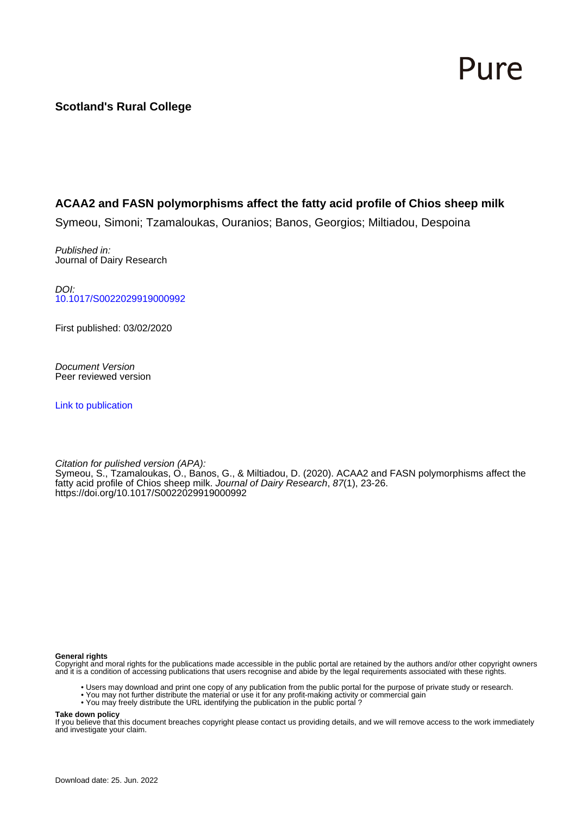# Pure

# **Scotland's Rural College**

# **ACAA2 and FASN polymorphisms affect the fatty acid profile of Chios sheep milk**

Symeou, Simoni; Tzamaloukas, Ouranios; Banos, Georgios; Miltiadou, Despoina

Published in: Journal of Dairy Research

DOI: [10.1017/S0022029919000992](https://doi.org/10.1017/S0022029919000992)

First published: 03/02/2020

Document Version Peer reviewed version

[Link to publication](https://pure.sruc.ac.uk/en/publications/d6a3d78a-8c79-4252-8c5b-31d7ace91e71)

Citation for pulished version (APA): Symeou, S., Tzamaloukas, O., Banos, G., & Miltiadou, D. (2020). ACAA2 and FASN polymorphisms affect the fatty acid profile of Chios sheep milk. Journal of Dairy Research, 87(1), 23-26. <https://doi.org/10.1017/S0022029919000992>

#### **General rights**

Copyright and moral rights for the publications made accessible in the public portal are retained by the authors and/or other copyright owners and it is a condition of accessing publications that users recognise and abide by the legal requirements associated with these rights.

- Users may download and print one copy of any publication from the public portal for the purpose of private study or research.
- You may not further distribute the material or use it for any profit-making activity or commercial gain
- You may freely distribute the URL identifying the publication in the public portal ?

#### **Take down policy**

If you believe that this document breaches copyright please contact us providing details, and we will remove access to the work immediately and investigate your claim.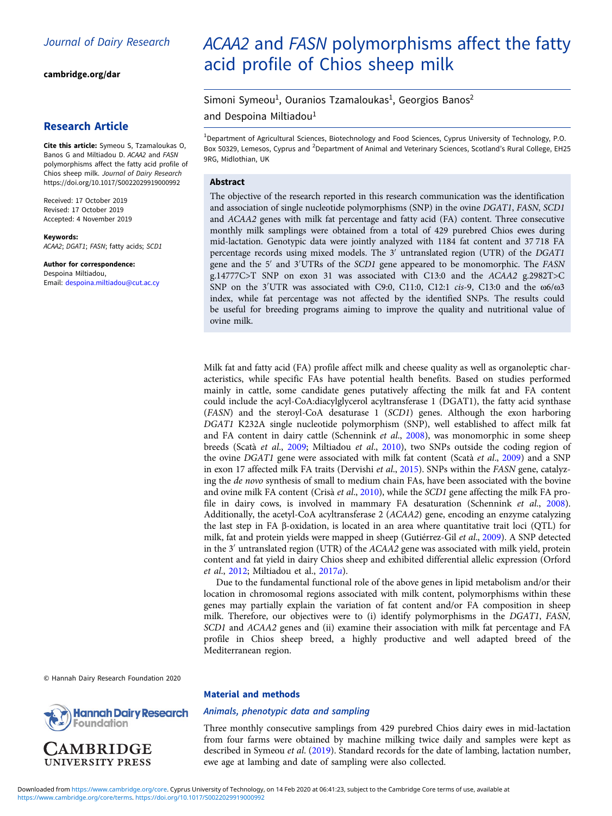[cambridge.org/dar](https://www.cambridge.org/dar)

### Research Article

Cite this article: Symeou S, Tzamaloukas O, Banos G and Miltiadou D. ACAA2 and FASN polymorphisms affect the fatty acid profile of Chios sheep milk. Journal of Dairy Research <https://doi.org/10.1017/S0022029919000992>

Received: 17 October 2019 Revised: 17 October 2019 Accepted: 4 November 2019

Keywords: ACAA2; DGAT1; FASN; fatty acids; SCD1

Author for correspondence: Despoina Miltiadou, Email: [despoina.miltiadou@cut.ac.cy](mailto:despoina.miltiadou@cut.ac.cy)

# ACAA2 and FASN polymorphisms affect the fatty acid profile of Chios sheep milk

Simoni Symeou<sup>1</sup>, Ouranios Tzamaloukas<sup>1</sup>, Georgios Banos<sup>2</sup>

and Despoina Miltiadou<sup>1</sup>

<sup>1</sup>Department of Agricultural Sciences, Biotechnology and Food Sciences, Cyprus University of Technology, P.O. Box 50329, Lemesos, Cyprus and <sup>2</sup>Department of Animal and Veterinary Sciences, Scotland's Rural College, EH25 9RG, Midlothian, UK

#### Abstract

The objective of the research reported in this research communication was the identification and association of single nucleotide polymorphisms (SNP) in the ovine DGAT1, FASN, SCD1 and ACAA2 genes with milk fat percentage and fatty acid (FA) content. Three consecutive monthly milk samplings were obtained from a total of 429 purebred Chios ewes during mid-lactation. Genotypic data were jointly analyzed with 1184 fat content and 37 718 FA percentage records using mixed models. The 3′ untranslated region (UTR) of the DGAT1 gene and the 5′ and 3′ UTRs of the SCD1 gene appeared to be monomorphic. The FASN g.14777C>T SNP on exon 31 was associated with C13:0 and the ACAA2 g.2982T>C SNP on the 3'UTR was associated with C9:0, C11:0, C12:1 *cis-*9, C13:0 and the  $\omega$ 6/ $\omega$ 3 index, while fat percentage was not affected by the identified SNPs. The results could be useful for breeding programs aiming to improve the quality and nutritional value of ovine milk.

Milk fat and fatty acid (FA) profile affect milk and cheese quality as well as organoleptic characteristics, while specific FAs have potential health benefits. Based on studies performed mainly in cattle, some candidate genes putatively affecting the milk fat and FA content could include the acyl-CoA:diacylglycerol acyltransferase 1 (DGAT1), the fatty acid synthase (FASN) and the steroyl-CoA desaturase 1 (SCD1) genes. Although the exon harboring DGAT1 K232A single nucleotide polymorphism (SNP), well established to affect milk fat and FA content in dairy cattle (Schennink et al., [2008](#page-4-0)), was monomorphic in some sheep breeds (Scatà et al., [2009](#page-4-0); Miltiadou et al., [2010](#page-4-0)), two SNPs outside the coding region of the ovine DGAT1 gene were associated with milk fat content (Scatà et al., [2009](#page-4-0)) and a SNP in exon 17 affected milk FA traits (Dervishi et al., [2015\)](#page-4-0). SNPs within the FASN gene, catalyzing the de novo synthesis of small to medium chain FAs, have been associated with the bovine and ovine milk FA content (Crisà et al., [2010\)](#page-3-0), while the SCD1 gene affecting the milk FA profile in dairy cows, is involved in mammary FA desaturation (Schennink et al., [2008](#page-4-0)). Additionally, the acetyl-CoA acyltransferase 2 (ACAA2) gene, encoding an enzyme catalyzing the last step in FA β-oxidation, is located in an area where quantitative trait loci (QTL) for milk, fat and protein yields were mapped in sheep (Gutiérrez-Gil et al., [2009\)](#page-4-0). A SNP detected in the 3′ untranslated region (UTR) of the ACAA2 gene was associated with milk yield, protein content and fat yield in dairy Chios sheep and exhibited differential allelic expression (Orford et al., [2012;](#page-4-0) Miltiadou et al., [2017](#page-4-0)a).

Due to the fundamental functional role of the above genes in lipid metabolism and/or their location in chromosomal regions associated with milk content, polymorphisms within these genes may partially explain the variation of fat content and/or FA composition in sheep milk. Therefore, our objectives were to (i) identify polymorphisms in the DGAT1, FASN, SCD1 and ACAA2 genes and (ii) examine their association with milk fat percentage and FA profile in Chios sheep breed, a highly productive and well adapted breed of the Mediterranean region.

© Hannah Dairy Research Foundation 2020



**AMBRIDGE UNIVERSITY PRESS** 

#### Material and methods

#### Animals, phenotypic data and sampling

Three monthly consecutive samplings from 429 purebred Chios dairy ewes in mid-lactation from four farms were obtained by machine milking twice daily and samples were kept as described in Symeou et al. ([2019\)](#page-4-0). Standard records for the date of lambing, lactation number, ewe age at lambing and date of sampling were also collected.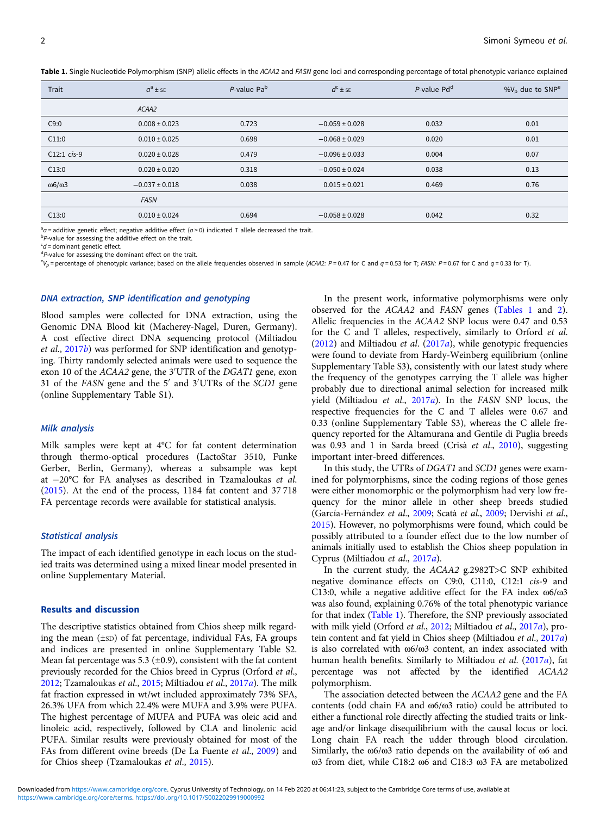<span id="page-2-0"></span>Table 1. Single Nucleotide Polymorphism (SNP) allelic effects in the ACAA2 and FASN gene loci and corresponding percentage of total phenotypic variance explained

| Trait                  | $a^a \pm s$ E      | P-value Pa <sup>b</sup> | $d^c \pm s_E$      | P-value Pd <sup>d</sup> | $\%V_{\text{p}}$ due to SNP <sup>e</sup> |
|------------------------|--------------------|-------------------------|--------------------|-------------------------|------------------------------------------|
|                        | ACAA2              |                         |                    |                         |                                          |
| C9:0                   | $0.008 \pm 0.023$  | 0.723                   | $-0.059 \pm 0.028$ | 0.032                   | 0.01                                     |
| C11:0                  | $0.010 \pm 0.025$  | 0.698                   | $-0.068 \pm 0.029$ | 0.020                   | 0.01                                     |
| $C12:1 cis-9$          | $0.020 \pm 0.028$  | 0.479                   | $-0.096 \pm 0.033$ | 0.004                   | 0.07                                     |
| C13:0                  | $0.020 \pm 0.020$  | 0.318                   | $-0.050 \pm 0.024$ | 0.038                   | 0.13                                     |
| $\omega$ 6/ $\omega$ 3 | $-0.037 \pm 0.018$ | 0.038                   | $0.015 \pm 0.021$  | 0.469                   | 0.76                                     |
|                        | <b>FASN</b>        |                         |                    |                         |                                          |
| C13:0                  | $0.010 \pm 0.024$  | 0.694                   | $-0.058 \pm 0.028$ | 0.042                   | 0.32                                     |
|                        |                    |                         |                    |                         |                                          |

 $a_{\sigma} =$  additive genetic effect; negative additive effect ( $a > 0$ ) indicated T allele decreased the trait.

 $P$ -value for assessing the additive effect on the trait.

 $c_d$  = dominant genetic effect.

 ${}^{d}P$ -value for assessing the dominant effect on the trait.

 ${}^{\rm e}V_{0}$  = percentage of phenotypic variance; based on the allele frequencies observed in sample (ACAA2: P = 0.47 for C and q = 0.53 for T; FASN: P = 0.67 for C and q = 0.33 for T).

#### DNA extraction, SNP identification and genotyping

Blood samples were collected for DNA extraction, using the Genomic DNA Blood kit (Macherey-Nagel, Duren, Germany). A cost effective direct DNA sequencing protocol (Miltiadou et al., [2017](#page-4-0)b) was performed for SNP identification and genotyping. Thirty randomly selected animals were used to sequence the exon 10 of the ACAA2 gene, the 3′ UTR of the DGAT1 gene, exon 31 of the FASN gene and the 5′ and 3′ UTRs of the SCD1 gene (online Supplementary Table S1).

#### Milk analysis

Milk samples were kept at 4°C for fat content determination through thermo-optical procedures (LactoStar 3510, Funke Gerber, Berlin, Germany), whereas a subsample was kept at −20°C for FA analyses as described in Tzamaloukas et al. ([2015](#page-4-0)). At the end of the process, 1184 fat content and 37 718 FA percentage records were available for statistical analysis.

#### Statistical analysis

The impact of each identified genotype in each locus on the studied traits was determined using a mixed linear model presented in online Supplementary Material.

#### Results and discussion

The descriptive statistics obtained from Chios sheep milk regarding the mean (±SD) of fat percentage, individual FAs, FA groups and indices are presented in online Supplementary Table S2. Mean fat percentage was 5.3  $(\pm 0.9)$ , consistent with the fat content previously recorded for the Chios breed in Cyprus (Orford et al., [2012;](#page-4-0) Tzamaloukas et al., [2015](#page-4-0); Miltiadou et al., [2017](#page-4-0)a). The milk fat fraction expressed in wt/wt included approximately 73% SFA, 26.3% UFA from which 22.4% were MUFA and 3.9% were PUFA. The highest percentage of MUFA and PUFA was oleic acid and linoleic acid, respectively, followed by CLA and linolenic acid PUFA. Similar results were previously obtained for most of the FAs from different ovine breeds (De La Fuente et al., [2009](#page-3-0)) and for Chios sheep (Tzamaloukas et al., [2015\)](#page-4-0).

In the present work, informative polymorphisms were only observed for the ACAA2 and FASN genes (Tables 1 and [2](#page-3-0)). Allelic frequencies in the ACAA2 SNP locus were 0.47 and 0.53 for the C and T alleles, respectively, similarly to Orford et al. ([2012\)](#page-4-0) and Miltiadou et al. ([2017](#page-4-0)a), while genotypic frequencies were found to deviate from Hardy-Weinberg equilibrium (online Supplementary Table S3), consistently with our latest study where the frequency of the genotypes carrying the T allele was higher probably due to directional animal selection for increased milk yield (Miltiadou et al., [2017](#page-4-0)a). In the FASN SNP locus, the respective frequencies for the C and T alleles were 0.67 and 0.33 (online Supplementary Table S3), whereas the C allele frequency reported for the Altamurana and Gentile di Puglia breeds was 0.93 and 1 in Sarda breed (Crisà et al., [2010\)](#page-3-0), suggesting important inter-breed differences.

In this study, the UTRs of DGAT1 and SCD1 genes were examined for polymorphisms, since the coding regions of those genes were either monomorphic or the polymorphism had very low frequency for the minor allele in other sheep breeds studied (García-Fernández et al., [2009](#page-4-0); Scatà et al., [2009;](#page-4-0) Dervishi et al., [2015\)](#page-4-0). However, no polymorphisms were found, which could be possibly attributed to a founder effect due to the low number of animals initially used to establish the Chios sheep population in Cyprus (Miltiadou et al., [2017](#page-4-0)a).

In the current study, the ACAA2 g.2982T>C SNP exhibited negative dominance effects on C9:0, C11:0, C12:1 cis-9 and C13:0, while a negative additive effect for the FA index ω6/ω3 was also found, explaining 0.76% of the total phenotypic variance for that index (Table 1). Therefore, the SNP previously associated with milk yield (Orford et al., [2012](#page-4-0); Miltiadou et al., [2017](#page-4-0)a), protein content and fat yield in Chios sheep (Miltiadou et al., [2017](#page-4-0)a) is also correlated with ω6/ω3 content, an index associated with human health benefits. Similarly to Miltiadou et al. [\(2017](#page-4-0)a), fat percentage was not affected by the identified ACAA2 polymorphism.

The association detected between the ACAA2 gene and the FA contents (odd chain FA and ω6/ω3 ratio) could be attributed to either a functional role directly affecting the studied traits or linkage and/or linkage disequilibrium with the causal locus or loci. Long chain FA reach the udder through blood circulation. Similarly, the ω6/ω3 ratio depends on the availability of ω6 and ω3 from diet, while C18:2 ω6 and C18:3 ω3 FA are metabolized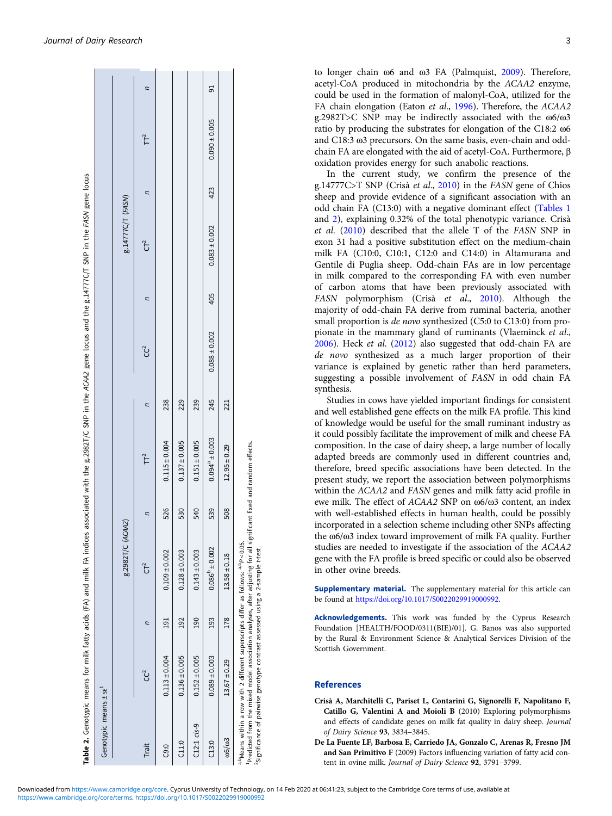<span id="page-3-0"></span>

| Genotypic means ± se <sup>+</sup> |                                                                                                                                                                                   |     |                                                                                                                                 |     |                       |     |                   |     |                   |     |                   |   |
|-----------------------------------|-----------------------------------------------------------------------------------------------------------------------------------------------------------------------------------|-----|---------------------------------------------------------------------------------------------------------------------------------|-----|-----------------------|-----|-------------------|-----|-------------------|-----|-------------------|---|
|                                   |                                                                                                                                                                                   |     | 8.2982T/C (ACAA2)                                                                                                               |     |                       |     |                   |     | 8.14777C/T (FASN) |     |                   |   |
| Trait                             | CC <sup>2</sup>                                                                                                                                                                   |     | $CT^2$                                                                                                                          |     | TT <sup>2</sup>       | ς   | උ                 | ς   | $CT^2$            | Ξ   | $\mathsf{T}^2$    | Ξ |
| C9:0                              | $0.113 \pm 0.004$                                                                                                                                                                 | 191 | $0.109 + 0.002$                                                                                                                 | 526 | $0.115 \pm 0.004$     | 238 |                   |     |                   |     |                   |   |
| C11:0                             | $0.136 \pm 0.005$                                                                                                                                                                 | 192 | $0.128 \pm 0.003$                                                                                                               | 530 | $0.137 \pm 0.005$     | 229 |                   |     |                   |     |                   |   |
| C12:1 c/s-9                       | $0.152 \pm 0.005$                                                                                                                                                                 | 190 | $0.143 \pm 0.003$                                                                                                               | 540 | $0.151 \pm 0.005$     | 239 |                   |     |                   |     |                   |   |
| C13:0                             | $0.089 \pm 0.003$                                                                                                                                                                 | 193 | $0.086^{p} \pm 0.002$                                                                                                           | 539 | $0.094^{a} \pm 0.003$ | 245 | $0.088 \pm 0.002$ | 405 | $0.083 \pm 0.002$ | 423 | $0.090 \pm 0.005$ | 5 |
| 006/003                           | $13.67 \pm 0.29$                                                                                                                                                                  | 178 | $13.58 \pm 0.18$                                                                                                                | 508 | $12.95 \pm 0.29$      | 221 |                   |     |                   |     |                   |   |
|                                   | a, Means within a row with 2 different superscripts differ as follows: a, PP < 0.05.<br><sup>2</sup> Significance of pairwise genotype contrast assessed using a 2-sample t-test. |     | <sup>1</sup> Predicted from the mixed model association analyses, after adjusting for all significant fixed and random effects. |     |                       |     |                   |     |                   |     |                   |   |

to longer chain ω6 and ω3 FA (Palmquist, [2009](#page-4-0)). Therefore, acetyl-CoA produced in mitochondria by the ACAA2 enzyme, could be used in the formation of malonyl-CoA, utilized for the FA chain elongation (Eaton et al., [1996](#page-4-0)). Therefore, the ACAA2 g.2982T>C SNP may be indirectly associated with the ω6/ω3 ratio by producing the substrates for elongation of the C18:2 ω6 and C18:3 ω3 precursors. On the same basis, even-chain and oddchain FA are elongated with the aid of acetyl-CoA. Furthermore, β oxidation provides energy for such anabolic reactions.

In the current study, we confirm the presence of the g.14777C>T SNP (Crisà et al., 2010) in the FASN gene of Chios sheep and provide evidence of a significant association with an odd chain FA (C13:0) with a negative dominant effect [\(Tables 1](#page-2-0) and 2), explaining 0.32% of the total phenotypic variance. Crisà et al. (2010) described that the allele T of the FASN SNP in exon 31 had a positive substitution effect on the medium-chain milk FA (C10:0, C10:1, C12:0 and C14:0) in Altamurana and Gentile di Puglia sheep. Odd-chain FAs are in low percentage in milk compared to the corresponding FA with even number of carbon atoms that have been previously associated with FASN polymorphism (Crisà et al., 2010). Although the majority of odd-chain FA derive from ruminal bacteria, another small proportion is de novo synthesized (C5:0 to C13:0) from propionate in the mammary gland of ruminants (Vlaeminck et al., [2006](#page-4-0)). Heck et al. ([2012\)](#page-4-0) also suggested that odd-chain FA are de novo synthesized as a much larger proportion of their variance is explained by genetic rather than herd parameters, suggesting a possible involvement of FASN in odd chain FA synthesis.

Studies in cows have yielded important findings for consistent and well established gene effects on the milk FA profile. This kind of knowledge would be useful for the small ruminant industry as it could possibly facilitate the improvement of milk and cheese FA composition. In the case of dairy sheep, a large number of locally adapted breeds are commonly used in different countries and, therefore, breed specific associations have been detected. In the present study, we report the association between polymorphisms within the ACAA2 and FASN genes and milk fatty acid profile in ewe milk. The effect of ACAA2 SNP on ω6/ω3 content, an index with well-established effects in human health, could be possibly incorporated in a selection scheme including other SNPs affecting the ω6/ω3 index toward improvement of milk FA quality. Further studies are needed to investigate if the association of the ACAA2 gene with the FA profile is breed specific or could also be observed in other ovine breeds.

Supplementary material. The supplementary material for this article can be found at [https://doi.org/10.1017/S0022029919000992.](https://doi.org/10.1017/S0022029919000992)

Acknowledgements. This work was funded by the Cyprus Research Foundation [HEALTH/FOOD/0311(BIE)/01]. G. Banos was also supported by the Rural & Environment Science & Analytical Services Division of the Scottish Government.

#### References

- Crisà A, Marchitelli C, Pariset L, Contarini G, Signorelli F, Napolitano F, Catillo G, Valentini A and Moioli B (2010) Exploring polymorphisms and effects of candidate genes on milk fat quality in dairy sheep. Journal of Dairy Science 93, 3834–3845.
- De La Fuente LF, Barbosa E, Carriedo JA, Gonzalo C, Arenas R, Fresno JM and San Primitivo F (2009) Factors influencing variation of fatty acid content in ovine milk. Journal of Dairy Science 92, 3791-3799.